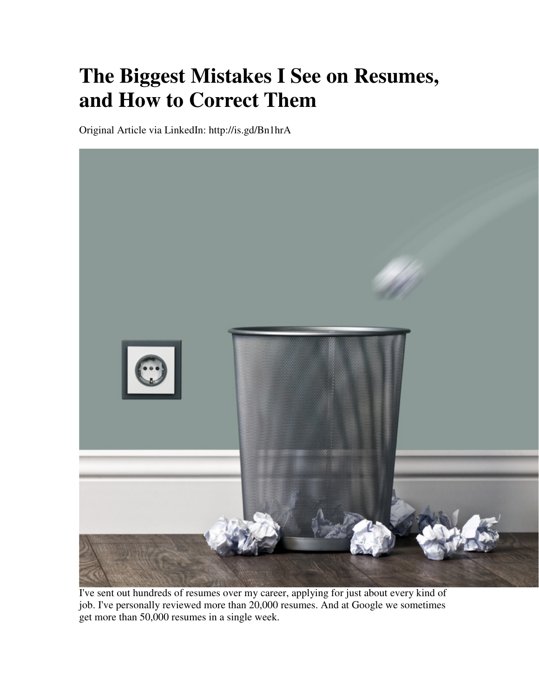## **The Biggest Mistakes I See on Resumes, and How to Correct Them**

Original Article via LinkedIn: http://is.gd/Bn1hrA



I've sent out hundreds of resumes over my career, applying for just about every kind of job. I've personally reviewed more than 20,000 resumes. And at Google we sometimes get more than 50,000 resumes in a single week.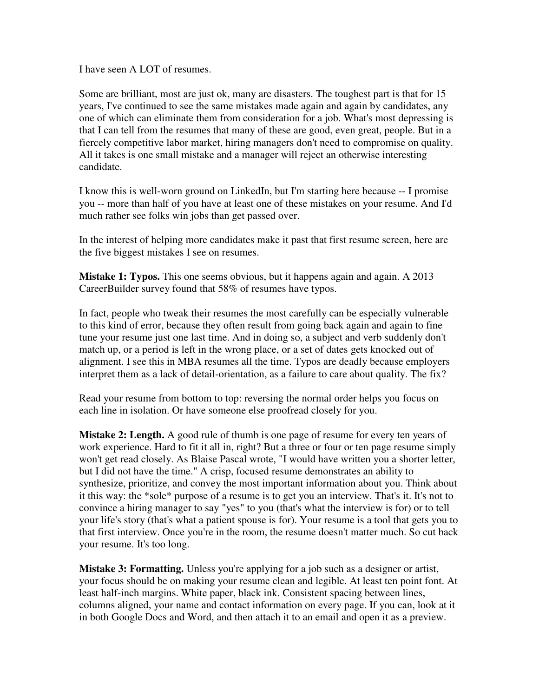I have seen A LOT of resumes.

Some are brilliant, most are just ok, many are disasters. The toughest part is that for 15 years, I've continued to see the same mistakes made again and again by candidates, any one of which can eliminate them from consideration for a job. What's most depressing is that I can tell from the resumes that many of these are good, even great, people. But in a fiercely competitive labor market, hiring managers don't need to compromise on quality. All it takes is one small mistake and a manager will reject an otherwise interesting candidate.

I know this is well-worn ground on LinkedIn, but I'm starting here because -- I promise you -- more than half of you have at least one of these mistakes on your resume. And I'd much rather see folks win jobs than get passed over.

In the interest of helping more candidates make it past that first resume screen, here are the five biggest mistakes I see on resumes.

**Mistake 1: Typos.** This one seems obvious, but it happens again and again. A 2013 CareerBuilder survey found that 58% of resumes have typos.

In fact, people who tweak their resumes the most carefully can be especially vulnerable to this kind of error, because they often result from going back again and again to fine tune your resume just one last time. And in doing so, a subject and verb suddenly don't match up, or a period is left in the wrong place, or a set of dates gets knocked out of alignment. I see this in MBA resumes all the time. Typos are deadly because employers interpret them as a lack of detail-orientation, as a failure to care about quality. The fix?

Read your resume from bottom to top: reversing the normal order helps you focus on each line in isolation. Or have someone else proofread closely for you.

**Mistake 2: Length.** A good rule of thumb is one page of resume for every ten years of work experience. Hard to fit it all in, right? But a three or four or ten page resume simply won't get read closely. As Blaise Pascal wrote, "I would have written you a shorter letter, but I did not have the time." A crisp, focused resume demonstrates an ability to synthesize, prioritize, and convey the most important information about you. Think about it this way: the \*sole\* purpose of a resume is to get you an interview. That's it. It's not to convince a hiring manager to say "yes" to you (that's what the interview is for) or to tell your life's story (that's what a patient spouse is for). Your resume is a tool that gets you to that first interview. Once you're in the room, the resume doesn't matter much. So cut back your resume. It's too long.

**Mistake 3: Formatting.** Unless you're applying for a job such as a designer or artist, your focus should be on making your resume clean and legible. At least ten point font. At least half-inch margins. White paper, black ink. Consistent spacing between lines, columns aligned, your name and contact information on every page. If you can, look at it in both Google Docs and Word, and then attach it to an email and open it as a preview.